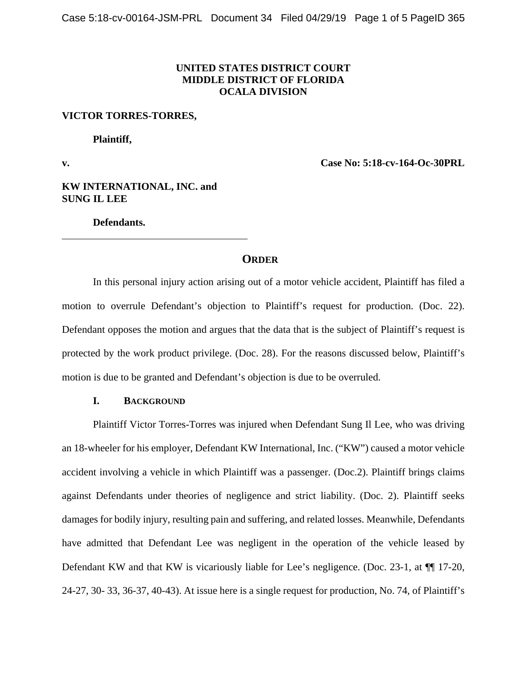## **UNITED STATES DISTRICT COURT MIDDLE DISTRICT OF FLORIDA OCALA DIVISION**

#### **VICTOR TORRES-TORRES,**

 **Plaintiff,** 

 $\overline{a}$ 

**v. Case No: 5:18-cv-164-Oc-30PRL** 

**KW INTERNATIONAL, INC. and SUNG IL LEE** 

 **Defendants.** 

## **ORDER**

In this personal injury action arising out of a motor vehicle accident, Plaintiff has filed a motion to overrule Defendant's objection to Plaintiff's request for production. (Doc. 22). Defendant opposes the motion and argues that the data that is the subject of Plaintiff's request is protected by the work product privilege. (Doc. 28). For the reasons discussed below, Plaintiff's motion is due to be granted and Defendant's objection is due to be overruled.

## **I. BACKGROUND**

Plaintiff Victor Torres-Torres was injured when Defendant Sung Il Lee, who was driving an 18-wheeler for his employer, Defendant KW International, Inc. ("KW") caused a motor vehicle accident involving a vehicle in which Plaintiff was a passenger. (Doc.2). Plaintiff brings claims against Defendants under theories of negligence and strict liability. (Doc. 2). Plaintiff seeks damages for bodily injury, resulting pain and suffering, and related losses. Meanwhile, Defendants have admitted that Defendant Lee was negligent in the operation of the vehicle leased by Defendant KW and that KW is vicariously liable for Lee's negligence. (Doc. 23-1, at  $\P$  17-20, 24-27, 30- 33, 36-37, 40-43). At issue here is a single request for production, No. 74, of Plaintiff's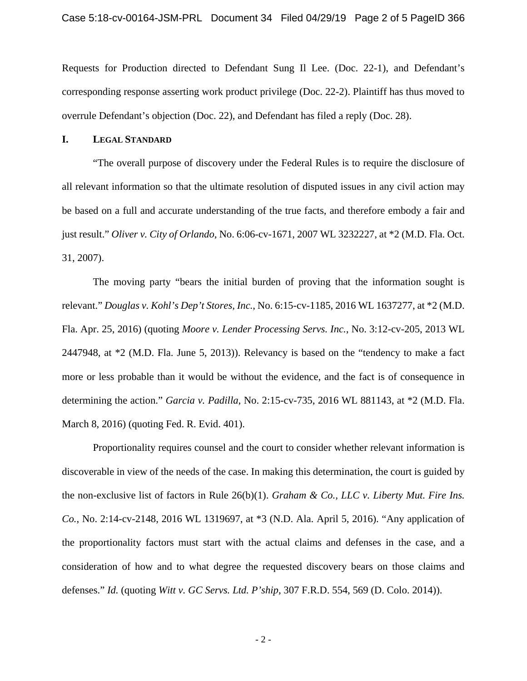Requests for Production directed to Defendant Sung Il Lee. (Doc. 22-1), and Defendant's corresponding response asserting work product privilege (Doc. 22-2). Plaintiff has thus moved to overrule Defendant's objection (Doc. 22), and Defendant has filed a reply (Doc. 28).

## **I. LEGAL STANDARD**

"The overall purpose of discovery under the Federal Rules is to require the disclosure of all relevant information so that the ultimate resolution of disputed issues in any civil action may be based on a full and accurate understanding of the true facts, and therefore embody a fair and just result." *Oliver v. City of Orlando*, No. 6:06-cv-1671, 2007 WL 3232227, at \*2 (M.D. Fla. Oct. 31, 2007).

The moving party "bears the initial burden of proving that the information sought is relevant." *Douglas v. Kohl's Dep't Stores, Inc.*, No. 6:15-cv-1185, 2016 WL 1637277, at \*2 (M.D. Fla. Apr. 25, 2016) (quoting *Moore v. Lender Processing Servs. Inc.*, No. 3:12-cv-205, 2013 WL 2447948, at \*2 (M.D. Fla. June 5, 2013)). Relevancy is based on the "tendency to make a fact more or less probable than it would be without the evidence, and the fact is of consequence in determining the action." *Garcia v. Padilla*, No. 2:15-cv-735, 2016 WL 881143, at \*2 (M.D. Fla. March 8, 2016) (quoting Fed. R. Evid. 401).

Proportionality requires counsel and the court to consider whether relevant information is discoverable in view of the needs of the case. In making this determination, the court is guided by the non-exclusive list of factors in Rule 26(b)(1). *Graham & Co., LLC v. Liberty Mut. Fire Ins. Co.*, No. 2:14-cv-2148, 2016 WL 1319697, at \*3 (N.D. Ala. April 5, 2016). "Any application of the proportionality factors must start with the actual claims and defenses in the case, and a consideration of how and to what degree the requested discovery bears on those claims and defenses." *Id.* (quoting *Witt v. GC Servs. Ltd. P'ship*, 307 F.R.D. 554, 569 (D. Colo. 2014)).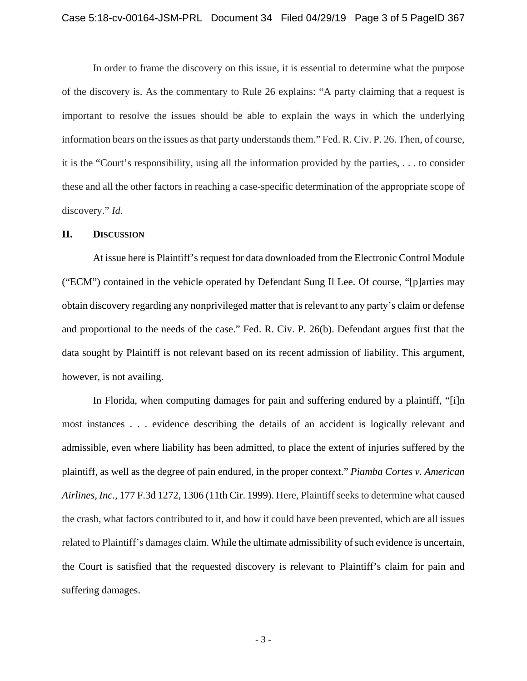In order to frame the discovery on this issue, it is essential to determine what the purpose of the discovery is. As the commentary to Rule 26 explains: "A party claiming that a request is important to resolve the issues should be able to explain the ways in which the underlying information bears on the issues as that party understands them." Fed. R. Civ. P. 26. Then, of course, it is the "Court's responsibility, using all the information provided by the parties, . . . to consider these and all the other factors in reaching a case-specific determination of the appropriate scope of discovery." *Id.*

## **II. DISCUSSION**

At issue here is Plaintiff's request for data downloaded from the Electronic Control Module ("ECM") contained in the vehicle operated by Defendant Sung Il Lee. Of course, "[p]arties may obtain discovery regarding any nonprivileged matter that is relevant to any party's claim or defense and proportional to the needs of the case." Fed. R. Civ. P. 26(b). Defendant argues first that the data sought by Plaintiff is not relevant based on its recent admission of liability. This argument, however, is not availing.

In Florida, when computing damages for pain and suffering endured by a plaintiff, "[i]n most instances . . . evidence describing the details of an accident is logically relevant and admissible, even where liability has been admitted, to place the extent of injuries suffered by the plaintiff, as well as the degree of pain endured, in the proper context." *Piamba Cortes v. American Airlines, Inc.,* 177 F.3d 1272, 1306 (11th Cir. 1999). Here, Plaintiff seeks to determine what caused the crash, what factors contributed to it, and how it could have been prevented, which are all issues related to Plaintiff's damages claim. While the ultimate admissibility of such evidence is uncertain, the Court is satisfied that the requested discovery is relevant to Plaintiff's claim for pain and suffering damages.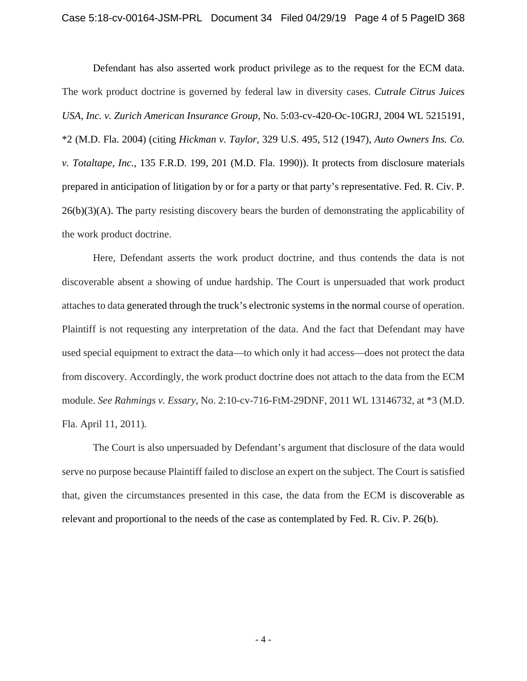Defendant has also asserted work product privilege as to the request for the ECM data. The work product doctrine is governed by federal law in diversity cases. *Cutrale Citrus Juices USA, Inc. v. Zurich American Insurance Group*, No. 5:03-cv-420-Oc-10GRJ, 2004 WL 5215191, \*2 (M.D. Fla. 2004) (citing *Hickman v. Taylor*, 329 U.S. 495, 512 (1947), *Auto Owners Ins. Co. v. Totaltape, Inc.*, 135 F.R.D. 199, 201 (M.D. Fla. 1990)). It protects from disclosure materials prepared in anticipation of litigation by or for a party or that party's representative. Fed. R. Civ. P.  $26(b)(3)(A)$ . The party resisting discovery bears the burden of demonstrating the applicability of the work product doctrine.

Here, Defendant asserts the work product doctrine, and thus contends the data is not discoverable absent a showing of undue hardship. The Court is unpersuaded that work product attaches to data generated through the truck's electronic systems in the normal course of operation. Plaintiff is not requesting any interpretation of the data. And the fact that Defendant may have used special equipment to extract the data—to which only it had access—does not protect the data from discovery. Accordingly, the work product doctrine does not attach to the data from the ECM module. *See Rahmings v. Essary*, No. 2:10-cv-716-FtM-29DNF, 2011 WL 13146732, at \*3 (M.D. Fla. April 11, 2011)*.* 

The Court is also unpersuaded by Defendant's argument that disclosure of the data would serve no purpose because Plaintiff failed to disclose an expert on the subject. The Court is satisfied that, given the circumstances presented in this case, the data from the ECM is discoverable as relevant and proportional to the needs of the case as contemplated by Fed. R. Civ. P. 26(b).